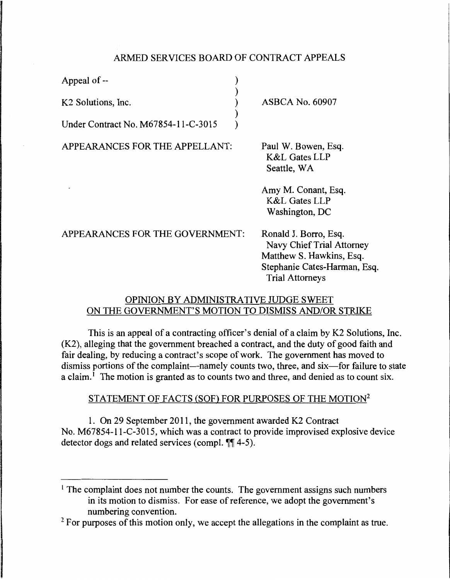## ARMED SERVICES BOARD OF CONTRACT APPEALS

) ) ) ) )

Appeal of--

K2 Solutions, Inc.

Under Contract No. M67854-1l-C-3015

APPEARANCES FOR THE APPELLANT:

ASBCA No. 60907

Paul W. Bowen, Esq. K&L Gates LLP Seattle, WA

Amy M. Conant, Esq. K&L Gates LLP Washington, DC

| APPEARANCES FOR THE GOVERNMENT: | Ronald J. Borro, Esq.        |
|---------------------------------|------------------------------|
|                                 | Navy Chief Trial Attorney    |
|                                 | Matthew S. Hawkins, Esq.     |
|                                 | Stephanie Cates-Harman, Esq. |
|                                 | <b>Trial Attorneys</b>       |
|                                 |                              |

## OPINION BY ADMINISTRATIVE JUDGE SWEET ON THE GOVERNMENT'S MOTION TO DISMISS AND/OR STRIKE

This is an appeal of a contracting officer's denial of a claim by K2 Solutions, Inc. (K2), alleging that the government breached a contract, and the duty of good faith and fair dealing, by reducing a contract's scope of work. The government has moved to dismiss portions of the complaint—namely counts two, three, and six—for failure to state a claim.<sup>1</sup> The motion is granted as to counts two and three, and denied as to count six.

# STATEMENT OF FACTS (SOF) FOR PURPOSES OF THE MOTION2

1. On 29 September 2011, the government awarded K2 Contract No. M67854-l l-C-3015, which was a contract to provide improvised explosive device detector dogs and related services (compl.  $\P$ [14-5).

<sup>&</sup>lt;sup>1</sup> The complaint does not number the counts. The government assigns such numbers in its motion to dismiss. For ease of reference, we adopt the government's numbering convention.

 $2$  For purposes of this motion only, we accept the allegations in the complaint as true.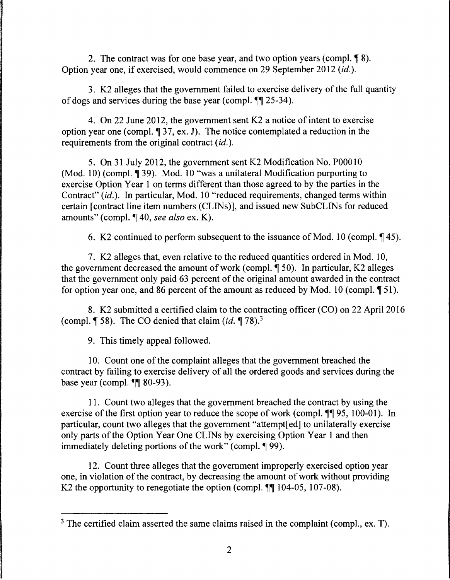2. The contract was for one base year, and two option years (compl.  $\lceil 8 \rceil$ ). Option year one, if exercised, would commence on 29 September 2012 *(id.).* 

3. K2 alleges that the government failed to exercise delivery of the full quantity of dogs and services during the base year (compl.  $\P$  25-34).

4. On 22 June 2012, the government sent K2 a notice of intent to exercise option year one (compl.  $\parallel$  37, ex. J). The notice contemplated a reduction in the requirements from the original contract *(id.).* 

5. On 31 July 2012, the government sent K2 Modification No. P00010 (Mod. 10) (compl.  $\P$  39). Mod. 10 "was a unilateral Modification purporting to exercise Option Year 1 on terms different than those agreed to by the parties in the Contract" *(id.).* In particular, Mod. 10 "reduced requirements, changed terms within certain [contract line item numbers (CLINs)], and issued new SubCLINs for reduced amounts" (compl. ¶ 40, *see also* ex. K).

6. K2 continued to perform subsequent to the issuance of Mod. 10 (compl.  $\P$  45).

7. K2 alleges that, even relative to the reduced quantities ordered in Mod. 10, the government decreased the amount of work (compl.  $\P$  50). In particular, K2 alleges that the government only paid 63 percent of the original amount awarded in the contract for option year one, and 86 percent of the amount as reduced by Mod. 10 (compl.  $\llbracket 51$ ).

8. K2 submitted a certified claim to the contracting officer (CO) on 22 April 2016 (compl.  $\P$  58). The CO denied that claim (id.  $\P$  78).<sup>3</sup>

9. This timely appeal followed.

10. Count one of the complaint alleges that the government breached the contract by failing to exercise delivery of all the ordered goods and services during the base year (compl.  $\P\P$  80-93).

11. Count two alleges that the government breached the contract by using the exercise of the first option year to reduce the scope of work (compl.  $\P\P$  95, 100-01). In particular, count two alleges that the government "attempt[ ed] to unilaterally exercise only parts of the Option Year One CLINs by exercising Option Year 1 and then immediately deleting portions of the work" (compl.  $\P$ 99).

12. Count three alleges that the government improperly exercised option year one, in violation of the contract, by decreasing the amount of work without providing K2 the opportunity to renegotiate the option (compl.  $\P\P$  104-05, 107-08).

 $3$  The certified claim asserted the same claims raised in the complaint (compl., ex. T).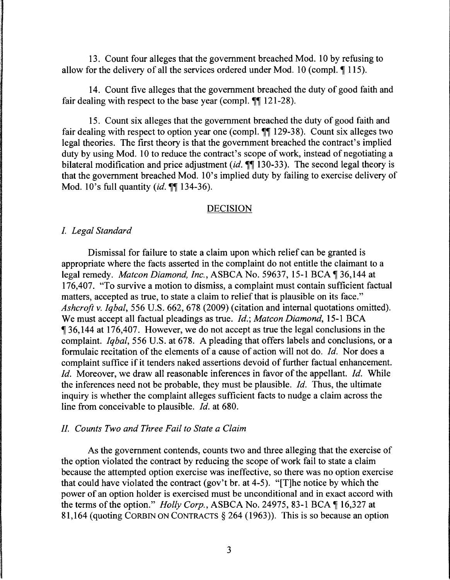13. Count four alleges that the government breached Mod. 10 by refusing to allow for the delivery of all the services ordered under Mod. 10 (compl.  $\P$  115).

14. Count five alleges that the government breached the duty of good faith and fair dealing with respect to the base year (compl.  $\P$  121-28).

15. Count six alleges that the government breached the duty of good faith and fair dealing with respect to option year one (compl.  $\P$  129-38). Count six alleges two legal theories. The first theory is that the government breached the contract's implied duty by using Mod. 10 to reduce the contract's scope of work, instead of negotiating a bilateral modification and price adjustment (id.  $\P$  $\overline{\phantom{1}}$  130-33). The second legal theory is that the government breached Mod. lO's implied duty by failing to exercise delivery of Mod. 10's full quantity (*id.*  $\P\P$  134-36).

### DECISION

### I. *Legal Standard*

Dismissal for failure to state a claim upon which relief can be granted is appropriate where the facts asserted in the complaint do not entitle the claimant to a legal remedy. *Matcon Diamond, Inc.*, ASBCA No. 59637, 15-1 BCA 136,144 at 176,407. "To survive a motion to dismiss, a complaint must contain sufficient factual matters, accepted as true, to state a claim to relief that is plausible on its face." *Ashcroft v. Iqbal,* 556 U.S. 662, 678 (2009) (citation and internal quotations omitted). We must accept all factual pleadings as true. *Id.; Matcon Diamond,* 15-1 BCA <sup>~</sup>36, 144 at 176,407. However, we do not accept as true the legal conclusions in the complaint. *Iqbal,* 556 U.S. at 678. A pleading that offers labels and conclusions, or a formulaic recitation of the elements of a cause of action will not do. *Id.* Nor does a complaint suffice if it tenders naked assertions devoid of further factual enhancement. *Id.* Moreover, we draw all reasonable inferences in favor of the appellant. *Id.* While the inferences need not be probable, they must be plausible. *Id.* Thus, the ultimate inquiry is whether the complaint alleges sufficient facts to nudge a claim across the line from conceivable to plausible. *Id.* at 680.

## II. *Counts Two and Three Fail to State a Claim*

As the government contends, counts two and three alleging that the exercise of the option violated the contract by reducing the scope of work fail to state a claim because the attempted option exercise was ineffective, so there was no option exercise that could have violated the contract (gov't br. at 4-5). "[T]he notice by which the power of an option holder is exercised must be unconditional and in exact accord with the terms of the option." *Holly Corp.*, ASBCA No. 24975, 83-1 BCA [16,327 at 81, 164 (quoting CORBIN ON CONTRACTS § 264 ( 1963) ). This is so because an option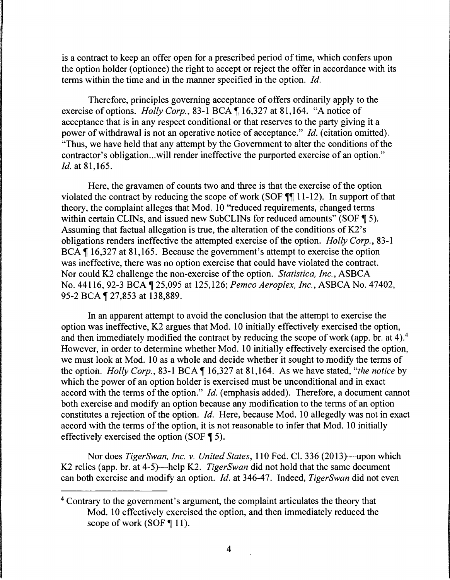is a contract to keep an offer open for a prescribed period of time, which confers upon the option holder ( optionee) the right to accept or reject the offer in accordance with its terms within the time and in the manner specified in the option. *Id.* 

Therefore, principles governing acceptance of offers ordinarily apply to the exercise of options. *Holly Corp.*, 83-1 BCA \ 16,327 at 81,164. "A notice of acceptance that is in any respect conditional or that reserves to the party giving it a power of withdrawal is not an operative notice of acceptance." *Id.* (citation omitted). "Thus, we have held that any attempt by the Government to alter the conditions of the contractor's obligation...will render ineffective the purported exercise of an option." *Id.* at 81,165.

Here, the gravamen of counts two and three is that the exercise of the option violated the contract by reducing the scope of work (SOF  $\llbracket \P \rbracket$  11-12). In support of that theory, the complaint alleges that Mod. 10 "reduced requirements, changed terms within certain CLINs, and issued new SubCLINs for reduced amounts" (SOF ¶ 5). Assuming that factual allegation is true, the alteration of the conditions of K2's obligations renders ineffective the attempted exercise of the option. *Holly Corp.,* 83-1 BCA ¶ 16,327 at 81,165. Because the government's attempt to exercise the option was ineffective, there was no option exercise that could have violated the contract. Nor could K2 challenge the non-exercise of the option. *Statistica, Inc.,* ASBCA No. 44116, 92-3 BCA ~ 25,095 at 125,126; *Pemco Aeroplex, Inc.,* ASBCA No. 47402, 95-2 BCA ¶ 27,853 at 138,889.

In an apparent attempt to avoid the conclusion that the attempt to exercise the option was ineffective, K2 argues that Mod. 10 initially effectively exercised the option, and then immediately modified the contract by reducing the scope of work (app. br. at 4).4 However, in order to determine whether Mod. 10 initially effectively exercised the option, we must look at Mod. 10 as a whole and decide whether it sought to modify the terms of the option. *Holly Corp.*, 83-1 BCA  $\P$  16,327 at 81,164. As we have stated, "*the notice* by which the power of an option holder is exercised must be unconditional and in exact accord with the terms of the option." *Id.* (emphasis added). Therefore, a document cannot both exercise and modify an option because any modification to the terms of an option constitutes a rejection of the option. *Id.* Here, because Mod. 10 allegedly was not in exact accord with the terms of the option, it is not reasonable to infer that Mod. 10 initially effectively exercised the option (SOF  $\P$  5).

Nor does *TigerSwan, Inc. v. United States,* 110 Fed. Cl. 336 (2013)—upon which K2 relies (app. br. at 4-5)—help K2. *TigerSwan* did not hold that the same document can both exercise and modify an option. *Id.* at 346-47. Indeed, *TigerSwan* did not even

<sup>4</sup> Contrary to the government's argument, the complaint articulates the theory that Mod. 10 effectively exercised the option, and then immediately reduced the scope of work (SOF  $\P$  11).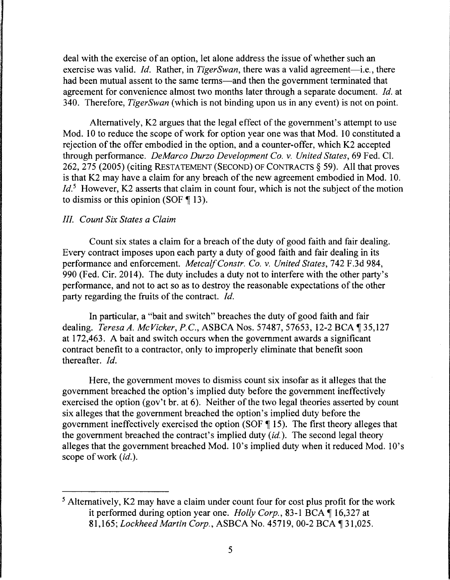deal with the exercise of an option, let alone address the issue of whether such an exercise was valid. *Id.* Rather, in *TigerSwan*, there was a valid agreement-i.e., there had been mutual assent to the same terms—and then the government terminated that agreement for convenience almost two months later through a separate document. *Id.* at 340. Therefore, *TigerSwan* (which is not binding upon us in any event) is not on point.

Alternatively, K2 argues that the legal effect of the government's attempt to use Mod. 10 to reduce the scope of work for option year one was that Mod. 10 constituted a rejection of the offer embodied in the option, and a counter-offer, which K2 accepted through performance. *DeMarco Durzo Development Co. v. United States,* 69 Fed. Cl. 262, 275 (2005) (citing RESTATEMENT (SECOND) OF CONTRACTS§ 59). All that proves is that K2 may have a claim for any breach of the new agreement embodied in Mod. 10. *Id.*<sup>5</sup> However, K2 asserts that claim in count four, which is not the subject of the motion to dismiss or this opinion (SOF  $\P$  13).

## *III. Count Six States a Claim*

Count six states a claim for a breach of the duty of good faith and fair dealing. Every contract imposes upon each party a duty of good faith and fair dealing in its performance and enforcement. *Metcalf Constr. Co. v. United States,* 742 F.3d 984, 990 (Fed. Cir. 2014). The duty includes a duty not to interfere with the other party's performance, and not to act so as to destroy the reasonable expectations of the other party regarding the fruits of the contract. *Id.* 

In particular, a "bait and switch" breaches the duty of good faith and fair dealing. *Teresa A. McVicker, P.C., ASBCA Nos.* 57487, 57653, 12-2 BCA 135,127 at 172,463. A bait and switch occurs when the government awards a significant contract benefit to a contractor, only to improperly eliminate that benefit soon thereafter. *Id.* 

Here, the government moves to dismiss count six insofar as it alleges that the government breached the option's implied duty before the government ineffectively exercised the option (gov't br. at 6). Neither of the two legal theories asserted by count six alleges that the government breached the option's implied duty before the government ineffectively exercised the option (SOF  $\P$  15). The first theory alleges that the government breached the contract's implied duty *(id.).* The second legal theory alleges that the government breached Mod. 10's implied duty when it reduced Mod. 10's scope of work *(id.).* 

<sup>5</sup> Alternatively, K2 may have a claim under count four for cost plus profit for the work it performed during option year one. *Holly Corp.*, 83-1 BCA ¶ 16,327 at 81,165; *Lockheed Martin Corp.*, ASBCA No. 45719, 00-2 BCA 131,025.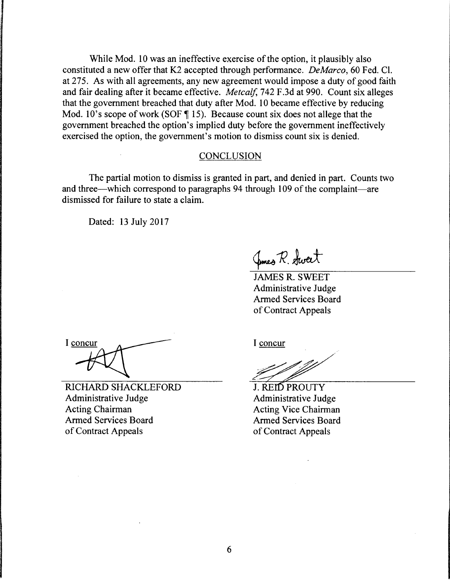While Mod. 10 was an ineffective exercise of the option, it plausibly also constituted a new offer that K2 accepted through performance. *DeMarco,* 60 Fed. Cl. at 275. As with all agreements, any new agreement would impose a duty of good faith and fair dealing after it became effective. *Metcalf,* 742 F.3d at 990. Count six alleges that the government breached that duty after Mod. 10 became effective by reducing Mod. 10's scope of work (SOF  $\parallel$  15). Because count six does not allege that the government breached the option's implied duty before the government ineffectively exercised the option, the government's motion to dismiss count six is denied.

#### **CONCLUSION**

The partial motion to dismiss is granted in part, and denied in part. Counts two and three—which correspond to paragraphs 94 through 109 of the complaint—are dismissed for failure to state a claim.

Dated: 13 July 2017

Junes R. Sweet

JAMES R. SWEET Administrative Judge Armed Services Board of Contract Appeals

I concur

RICHARD SHACKLEFORD Administrative Judge Acting Chairman Armed Services Board of Contract Appeals

I concur

J. REID PROUTY Administrative Judge **Acting Vice Chairman Armed Services Board** of Contract Appeals